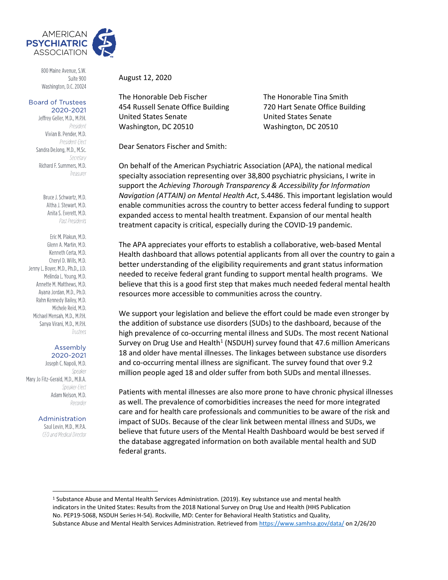

800 Maine Avenue, S.W. Suite 900 Washington, D.C. 20024

## **Board of Trustees** 2020-2021

Jeffrey Geller, M.D., M.P.H. President Vivian B. Pender, M.D. President-Elect Sandra DeJong, M.D., M.Sc. Secretary Richard F. Summers, M.D. Treasurer

> Bruce J. Schwartz, M.D. Altha J. Stewart, M.D. Anita S. Everett, M.D. Past Presidents

Eric M. Plakun, M.D. Glenn A. Martin, M.D. Kenneth Certa, M.D. Cheryl D. Wills, M.D. Jenny L. Boyer, M.D., Ph.D., J.D. Melinda L. Young, M.D. Annette M. Matthews, M.D. Avana Jordan, M.D., Ph.D. Rahn Kennedy Bailey, M.D. Michele Reid, M.D. Michael Mensah, M.D., M.P.H. Sanya Virani, M.D., M.P.H. Trustees

## Assembly 2020-2021

Joseph C. Napoli, M.D. Speaker Mary Jo Fitz-Gerald, M.D., M.B.A. Speaker-Flect Adam Nelson, M.D. Recorder

Administration

Saul Levin, M.D., M.P.A. CEO and Medical Director

August 12, 2020

The Honorable Deb Fischer The Honorable Tina Smith 454 Russell Senate Office Building 720 Hart Senate Office Building United States Senate United States Senate Washington, DC 20510 Washington, DC 20510

Dear Senators Fischer and Smith:

On behalf of the American Psychiatric Association (APA), the national medical specialty association representing over 38,800 psychiatric physicians, I write in support the *Achieving Thorough Transparency & Accessibility for Information Navigation (ATTAIN) on Mental Health Act*, S.4486. This important legislation would enable communities across the country to better access federal funding to support expanded access to mental health treatment. Expansion of our mental health treatment capacity is critical, especially during the COVID-19 pandemic.

The APA appreciates your efforts to establish a collaborative, web-based Mental Health dashboard that allows potential applicants from all over the country to gain a better understanding of the eligibility requirements and grant status information needed to receive federal grant funding to support mental health programs. We believe that this is a good first step that makes much needed federal mental health resources more accessible to communities across the country.

We support your legislation and believe the effort could be made even stronger by the addition of substance use disorders (SUDs) to the dashboard, because of the high prevalence of co-occurring mental illness and SUDs. The most recent National Survey on Drug Use and Health<sup>1</sup> (NSDUH) survey found that 47.6 million Americans 18 and older have mental illnesses. The linkages between substance use disorders and co-occurring mental illness are significant. The survey found that over 9.2 million people aged 18 and older suffer from both SUDs and mental illnesses.

Patients with mental illnesses are also more prone to have chronic physical illnesses as well. The prevalence of comorbidities increases the need for more integrated care and for health care professionals and communities to be aware of the risk and impact of SUDs. Because of the clear link between mental illness and SUDs, we believe that future users of the Mental Health Dashboard would be best served if the database aggregated information on both available mental health and SUD federal grants.

<sup>1</sup> Substance Abuse and Mental Health Services Administration. (2019). Key substance use and mental health indicators in the United States: Results from the 2018 National Survey on Drug Use and Health (HHS Publication No. PEP19-5068, NSDUH Series H-54). Rockville, MD: Center for Behavioral Health Statistics and Quality, Substance Abuse and Mental Health Services Administration. Retrieved fro[m https://www.samhsa.gov/data/](https://www.samhsa.gov/data/) on 2/26/20